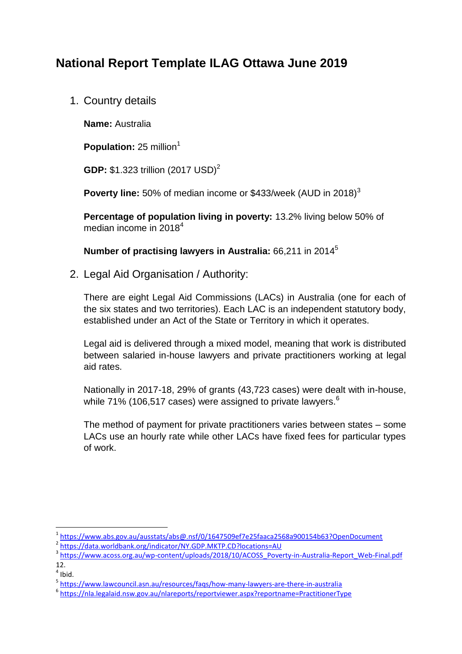# **National Report Template ILAG Ottawa June 2019**

1. Country details

**Name:** Australia

**Population:** 25 million<sup>1</sup>

**GDP:** \$1.323 trillion (2017 USD)<sup>2</sup>

**Poverty line:** 50% of median income or \$433/week (AUD in 2018)<sup>3</sup>

**Percentage of population living in poverty:** 13.2% living below 50% of median income in 2018<sup>4</sup>

**Number of practising lawyers in Australia:** 66,211 in 2014<sup>5</sup>

2. Legal Aid Organisation / Authority:

There are eight Legal Aid Commissions (LACs) in Australia (one for each of the six states and two territories). Each LAC is an independent statutory body, established under an Act of the State or Territory in which it operates.

Legal aid is delivered through a mixed model, meaning that work is distributed between salaried in-house lawyers and private practitioners working at legal aid rates.

Nationally in 2017-18, 29% of grants (43,723 cases) were dealt with in-house, while 71% (106,517 cases) were assigned to private lawyers.<sup>6</sup>

The method of payment for private practitioners varies between states – some LACs use an hourly rate while other LACs have fixed fees for particular types of work.

 $\overline{a}$ 

<sup>1</sup> <https://www.abs.gov.au/ausstats/abs@.nsf/0/1647509ef7e25faaca2568a900154b63?OpenDocument>

<sup>2</sup> <https://data.worldbank.org/indicator/NY.GDP.MKTP.CD?locations=AU>

<sup>&</sup>lt;sup>3</sup> [https://www.acoss.org.au/wp-content/uploads/2018/10/ACOSS\\_Poverty-in-Australia-Report\\_Web-Final.pdf](https://www.acoss.org.au/wp-content/uploads/2018/10/ACOSS_Poverty-in-Australia-Report_Web-Final.pdf) 12.

 $<sup>4</sup>$  Ibid.</sup>

<sup>5</sup> <https://www.lawcouncil.asn.au/resources/faqs/how-many-lawyers-are-there-in-australia>

<sup>6</sup> <https://nla.legalaid.nsw.gov.au/nlareports/reportviewer.aspx?reportname=PractitionerType>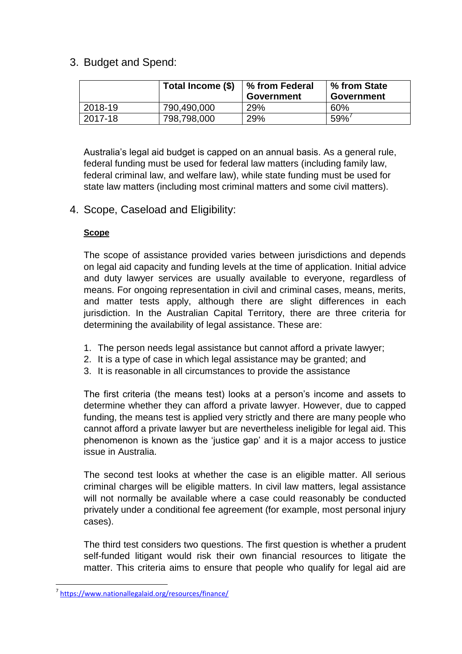## 3. Budget and Spend:

|         | Total Income (\$) | ∣% from Federal<br><b>Government</b> | ∣% from State<br>Government |
|---------|-------------------|--------------------------------------|-----------------------------|
| 2018-19 | 790,490,000       | 29%                                  | 60%                         |
| 2017-18 | 798,798,000       | 29%                                  | 59%                         |

Australia's legal aid budget is capped on an annual basis. As a general rule, federal funding must be used for federal law matters (including family law, federal criminal law, and welfare law), while state funding must be used for state law matters (including most criminal matters and some civil matters).

## 4. Scope, Caseload and Eligibility:

#### **Scope**

The scope of assistance provided varies between jurisdictions and depends on legal aid capacity and funding levels at the time of application. Initial advice and duty lawyer services are usually available to everyone, regardless of means. For ongoing representation in civil and criminal cases, means, merits, and matter tests apply, although there are slight differences in each jurisdiction. In the Australian Capital Territory, there are three criteria for determining the availability of legal assistance. These are:

- 1. The person needs legal assistance but cannot afford a private lawyer;
- 2. It is a type of case in which legal assistance may be granted; and
- 3. It is reasonable in all circumstances to provide the assistance

The first criteria (the means test) looks at a person's income and assets to determine whether they can afford a private lawyer. However, due to capped funding, the means test is applied very strictly and there are many people who cannot afford a private lawyer but are nevertheless ineligible for legal aid. This phenomenon is known as the 'justice gap' and it is a major access to justice issue in Australia.

The second test looks at whether the case is an eligible matter. All serious criminal charges will be eligible matters. In civil law matters, legal assistance will not normally be available where a case could reasonably be conducted privately under a conditional fee agreement (for example, most personal injury cases).

The third test considers two questions. The first question is whether a prudent self-funded litigant would risk their own financial resources to litigate the matter. This criteria aims to ensure that people who qualify for legal aid are

**.** 

<sup>7</sup> <https://www.nationallegalaid.org/resources/finance/>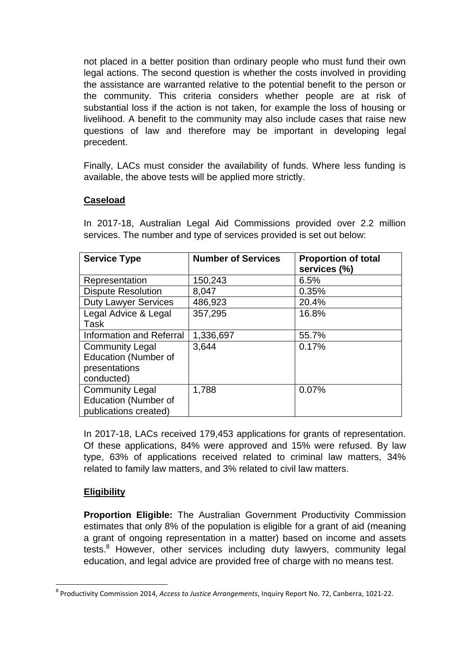not placed in a better position than ordinary people who must fund their own legal actions. The second question is whether the costs involved in providing the assistance are warranted relative to the potential benefit to the person or the community. This criteria considers whether people are at risk of substantial loss if the action is not taken, for example the loss of housing or livelihood. A benefit to the community may also include cases that raise new questions of law and therefore may be important in developing legal precedent.

Finally, LACs must consider the availability of funds. Where less funding is available, the above tests will be applied more strictly.

#### **Caseload**

In 2017-18, Australian Legal Aid Commissions provided over 2.2 million services. The number and type of services provided is set out below:

| <b>Service Type</b>         | <b>Number of Services</b> | <b>Proportion of total</b><br>services (%) |
|-----------------------------|---------------------------|--------------------------------------------|
| Representation              | 150,243                   | 6.5%                                       |
| <b>Dispute Resolution</b>   | 8,047                     | 0.35%                                      |
| <b>Duty Lawyer Services</b> | 486,923                   | 20.4%                                      |
| Legal Advice & Legal        | 357,295                   | 16.8%                                      |
| Task                        |                           |                                            |
| Information and Referral    | 1,336,697                 | 55.7%                                      |
| <b>Community Legal</b>      | 3,644                     | 0.17%                                      |
| <b>Education (Number of</b> |                           |                                            |
| presentations               |                           |                                            |
| conducted)                  |                           |                                            |
| <b>Community Legal</b>      | 1,788                     | 0.07%                                      |
| <b>Education (Number of</b> |                           |                                            |
| publications created)       |                           |                                            |

In 2017-18, LACs received 179,453 applications for grants of representation. Of these applications, 84% were approved and 15% were refused. By law type, 63% of applications received related to criminal law matters, 34% related to family law matters, and 3% related to civil law matters.

#### **Eligibility**

**Proportion Eligible:** The Australian Government Productivity Commission estimates that only 8% of the population is eligible for a grant of aid (meaning a grant of ongoing representation in a matter) based on income and assets tests.<sup>8</sup> However, other services including duty lawyers, community legal education, and legal advice are provided free of charge with no means test.

**<sup>.</sup>** 8 Productivity Commission 2014, *Access to Justice Arrangements*, Inquiry Report No. 72, Canberra, 1021-22.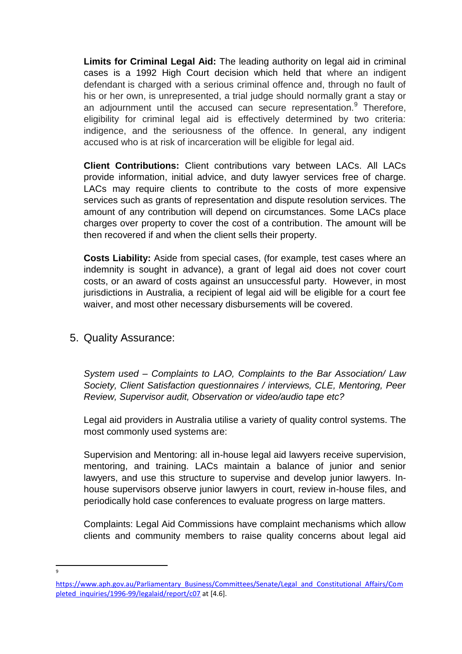**Limits for Criminal Legal Aid:** The leading authority on legal aid in criminal cases is a 1992 High Court decision which held that where an indigent defendant is charged with a serious criminal offence and, through no fault of his or her own, is unrepresented, a trial judge should normally grant a stay or an adjournment until the accused can secure representation.<sup>9</sup> Therefore, eligibility for criminal legal aid is effectively determined by two criteria: indigence, and the seriousness of the offence. In general, any indigent accused who is at risk of incarceration will be eligible for legal aid.

**Client Contributions:** Client contributions vary between LACs. All LACs provide information, initial advice, and duty lawyer services free of charge. LACs may require clients to contribute to the costs of more expensive services such as grants of representation and dispute resolution services. The amount of any contribution will depend on circumstances. Some LACs place charges over property to cover the cost of a contribution. The amount will be then recovered if and when the client sells their property.

**Costs Liability:** Aside from special cases, (for example, test cases where an indemnity is sought in advance), a grant of legal aid does not cover court costs, or an award of costs against an unsuccessful party. However, in most jurisdictions in Australia, a recipient of legal aid will be eligible for a court fee waiver, and most other necessary disbursements will be covered.

#### 5. Quality Assurance:

*System used – Complaints to LAO, Complaints to the Bar Association/ Law Society, Client Satisfaction questionnaires / interviews, CLE, Mentoring, Peer Review, Supervisor audit, Observation or video/audio tape etc?*

Legal aid providers in Australia utilise a variety of quality control systems. The most commonly used systems are:

Supervision and Mentoring: all in-house legal aid lawyers receive supervision, mentoring, and training. LACs maintain a balance of junior and senior lawyers, and use this structure to supervise and develop junior lawyers. Inhouse supervisors observe junior lawyers in court, review in-house files, and periodically hold case conferences to evaluate progress on large matters.

Complaints: Legal Aid Commissions have complaint mechanisms which allow clients and community members to raise quality concerns about legal aid

**.** 9

[https://www.aph.gov.au/Parliamentary\\_Business/Committees/Senate/Legal\\_and\\_Constitutional\\_Affairs/Com](https://www.aph.gov.au/Parliamentary_Business/Committees/Senate/Legal_and_Constitutional_Affairs/Completed_inquiries/1996-99/legalaid/report/c07) [pleted\\_inquiries/1996-99/legalaid/report/c07](https://www.aph.gov.au/Parliamentary_Business/Committees/Senate/Legal_and_Constitutional_Affairs/Completed_inquiries/1996-99/legalaid/report/c07) at [4.6].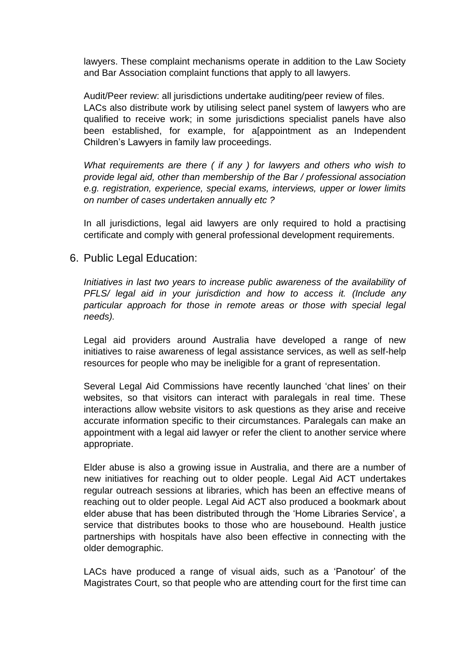lawyers. These complaint mechanisms operate in addition to the Law Society and Bar Association complaint functions that apply to all lawyers.

Audit/Peer review: all jurisdictions undertake auditing/peer review of files. LACs also distribute work by utilising select panel system of lawyers who are qualified to receive work; in some jurisdictions specialist panels have also been established, for example, for a[appointment as an Independent Children's Lawyers in family law proceedings.

*What requirements are there ( if any ) for lawyers and others who wish to provide legal aid, other than membership of the Bar / professional association e.g. registration, experience, special exams, interviews, upper or lower limits on number of cases undertaken annually etc ?*

In all jurisdictions, legal aid lawyers are only required to hold a practising certificate and comply with general professional development requirements.

6. Public Legal Education:

*Initiatives in last two years to increase public awareness of the availability of PFLS/ legal aid in your jurisdiction and how to access it. (Include any particular approach for those in remote areas or those with special legal needs).* 

Legal aid providers around Australia have developed a range of new initiatives to raise awareness of legal assistance services, as well as self-help resources for people who may be ineligible for a grant of representation.

Several Legal Aid Commissions have recently launched 'chat lines' on their websites, so that visitors can interact with paralegals in real time. These interactions allow website visitors to ask questions as they arise and receive accurate information specific to their circumstances. Paralegals can make an appointment with a legal aid lawyer or refer the client to another service where appropriate.

Elder abuse is also a growing issue in Australia, and there are a number of new initiatives for reaching out to older people. Legal Aid ACT undertakes regular outreach sessions at libraries, which has been an effective means of reaching out to older people. Legal Aid ACT also produced a bookmark about elder abuse that has been distributed through the 'Home Libraries Service', a service that distributes books to those who are housebound. Health justice partnerships with hospitals have also been effective in connecting with the older demographic.

LACs have produced a range of visual aids, such as a 'Panotour' of the Magistrates Court, so that people who are attending court for the first time can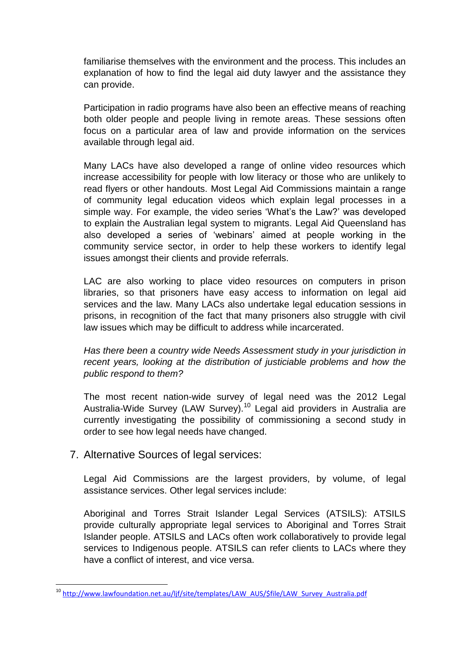familiarise themselves with the environment and the process. This includes an explanation of how to find the legal aid duty lawyer and the assistance they can provide.

Participation in radio programs have also been an effective means of reaching both older people and people living in remote areas. These sessions often focus on a particular area of law and provide information on the services available through legal aid.

Many LACs have also developed a range of online video resources which increase accessibility for people with low literacy or those who are unlikely to read flyers or other handouts. Most Legal Aid Commissions maintain a range of community legal education videos which explain legal processes in a simple way. For example, the video series 'What's the Law?' was developed to explain the Australian legal system to migrants. Legal Aid Queensland has also developed a series of 'webinars' aimed at people working in the community service sector, in order to help these workers to identify legal issues amongst their clients and provide referrals.

LAC are also working to place video resources on computers in prison libraries, so that prisoners have easy access to information on legal aid services and the law. Many LACs also undertake legal education sessions in prisons, in recognition of the fact that many prisoners also struggle with civil law issues which may be difficult to address while incarcerated.

*Has there been a country wide Needs Assessment study in your jurisdiction in recent years, looking at the distribution of justiciable problems and how the public respond to them?*

The most recent nation-wide survey of legal need was the 2012 Legal Australia-Wide Survey (LAW Survey).<sup>10</sup> Legal aid providers in Australia are currently investigating the possibility of commissioning a second study in order to see how legal needs have changed.

#### 7. Alternative Sources of legal services:

**.** 

Legal Aid Commissions are the largest providers, by volume, of legal assistance services. Other legal services include:

Aboriginal and Torres Strait Islander Legal Services (ATSILS): ATSILS provide culturally appropriate legal services to Aboriginal and Torres Strait Islander people. ATSILS and LACs often work collaboratively to provide legal services to Indigenous people. ATSILS can refer clients to LACs where they have a conflict of interest, and vice versa.

<sup>&</sup>lt;sup>10</sup> [http://www.lawfoundation.net.au/ljf/site/templates/LAW\\_AUS/\\$file/LAW\\_Survey\\_Australia.pdf](http://www.lawfoundation.net.au/ljf/site/templates/LAW_AUS/$file/LAW_Survey_Australia.pdf)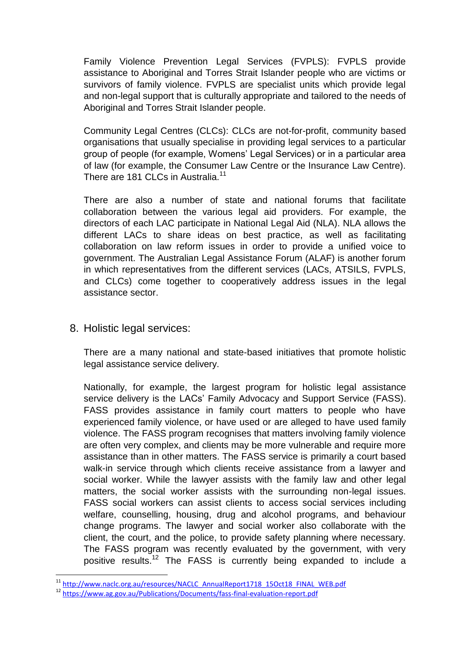Family Violence Prevention Legal Services (FVPLS): FVPLS provide assistance to Aboriginal and Torres Strait Islander people who are victims or survivors of family violence. FVPLS are specialist units which provide legal and non-legal support that is culturally appropriate and tailored to the needs of Aboriginal and Torres Strait Islander people.

Community Legal Centres (CLCs): CLCs are not-for-profit, community based organisations that usually specialise in providing legal services to a particular group of people (for example, Womens' Legal Services) or in a particular area of law (for example, the Consumer Law Centre or the Insurance Law Centre). There are 181 CLCs in Australia.<sup>11</sup>

There are also a number of state and national forums that facilitate collaboration between the various legal aid providers. For example, the directors of each LAC participate in National Legal Aid (NLA). NLA allows the different LACs to share ideas on best practice, as well as facilitating collaboration on law reform issues in order to provide a unified voice to government. The Australian Legal Assistance Forum (ALAF) is another forum in which representatives from the different services (LACs, ATSILS, FVPLS, and CLCs) come together to cooperatively address issues in the legal assistance sector.

8. Holistic legal services:

1

There are a many national and state-based initiatives that promote holistic legal assistance service delivery.

Nationally, for example, the largest program for holistic legal assistance service delivery is the LACs' Family Advocacy and Support Service (FASS). FASS provides assistance in family court matters to people who have experienced family violence, or have used or are alleged to have used family violence. The FASS program recognises that matters involving family violence are often very complex, and clients may be more vulnerable and require more assistance than in other matters. The FASS service is primarily a court based walk-in service through which clients receive assistance from a lawyer and social worker. While the lawyer assists with the family law and other legal matters, the social worker assists with the surrounding non-legal issues. FASS social workers can assist clients to access social services including welfare, counselling, housing, drug and alcohol programs, and behaviour change programs. The lawyer and social worker also collaborate with the client, the court, and the police, to provide safety planning where necessary. The FASS program was recently evaluated by the government, with very positive results.<sup>12</sup> The FASS is currently being expanded to include a

<sup>&</sup>lt;sup>11</sup> [http://www.naclc.org.au/resources/NACLC\\_AnnualReport1718\\_15Oct18\\_FINAL\\_WEB.pdf](http://www.naclc.org.au/resources/NACLC_AnnualReport1718_15Oct18_FINAL_WEB.pdf)

<sup>12</sup> <https://www.ag.gov.au/Publications/Documents/fass-final-evaluation-report.pdf>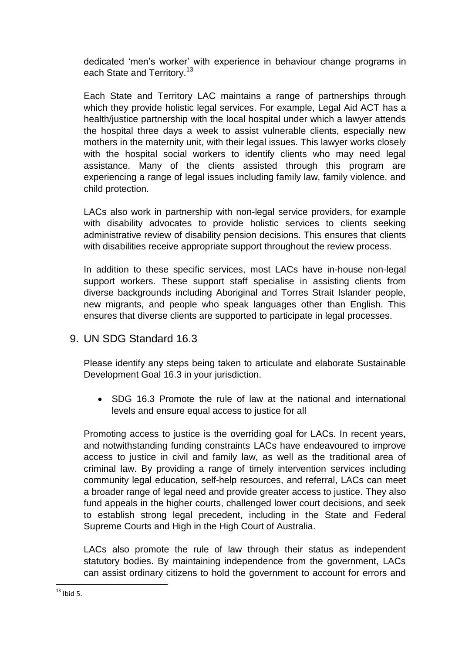dedicated 'men's worker' with experience in behaviour change programs in each State and Territory.<sup>13</sup>

Each State and Territory LAC maintains a range of partnerships through which they provide holistic legal services. For example, Legal Aid ACT has a health/justice partnership with the local hospital under which a lawyer attends the hospital three days a week to assist vulnerable clients, especially new mothers in the maternity unit, with their legal issues. This lawyer works closely with the hospital social workers to identify clients who may need legal assistance. Many of the clients assisted through this program are experiencing a range of legal issues including family law, family violence, and child protection.

LACs also work in partnership with non-legal service providers, for example with disability advocates to provide holistic services to clients seeking administrative review of disability pension decisions. This ensures that clients with disabilities receive appropriate support throughout the review process.

In addition to these specific services, most LACs have in-house non-legal support workers. These support staff specialise in assisting clients from diverse backgrounds including Aboriginal and Torres Strait Islander people, new migrants, and people who speak languages other than English. This ensures that diverse clients are supported to participate in legal processes.

## 9. UN SDG Standard 16.3

Please identify any steps being taken to articulate and elaborate Sustainable Development Goal 16.3 in your jurisdiction.

 SDG 16.3 Promote the rule of law at the national and international levels and ensure equal access to justice for all

Promoting access to justice is the overriding goal for LACs. In recent years, and notwithstanding funding constraints LACs have endeavoured to improve access to justice in civil and family law, as well as the traditional area of criminal law. By providing a range of timely intervention services including community legal education, self-help resources, and referral, LACs can meet a broader range of legal need and provide greater access to justice. They also fund appeals in the higher courts, challenged lower court decisions, and seek to establish strong legal precedent, including in the State and Federal Supreme Courts and High in the High Court of Australia.

LACs also promote the rule of law through their status as independent statutory bodies. By maintaining independence from the government, LACs can assist ordinary citizens to hold the government to account for errors and

**<sup>.</sup>**  $13$  Ibid 5.